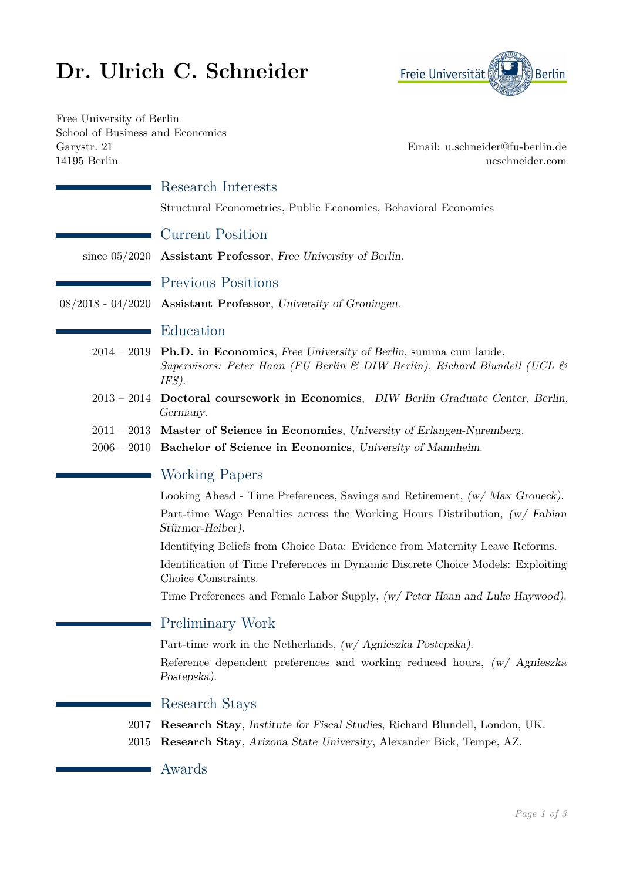# **Dr. Ulrich C. Schneider**



Free University of Berlin School of Business and Economics Garystr. 21 Email: [u.schneider@fu-berlin.de](mailto:u.schneider@fu-berlin.de) 14195 Berlin [ucschneider.com](http://www.ucschneider.com)

|               | Research Interests                                                                                                                                                  |
|---------------|---------------------------------------------------------------------------------------------------------------------------------------------------------------------|
|               | Structural Econometrics, Public Economics, Behavioral Economics                                                                                                     |
|               | <b>Current Position</b>                                                                                                                                             |
|               | since $05/2020$ Assistant Professor, Free University of Berlin.                                                                                                     |
|               | <b>Previous Positions</b>                                                                                                                                           |
|               | 08/2018 - 04/2020 Assistant Professor, University of Groningen.                                                                                                     |
|               | Education                                                                                                                                                           |
|               | $2014 - 2019$ Ph.D. in Economics, Free University of Berlin, summa cum laude,<br>Supervisors: Peter Haan (FU Berlin & DIW Berlin), Richard Blundell (UCL &<br>IFS). |
|               | 2013 - 2014 Doctoral coursework in Economics, DIW Berlin Graduate Center, Berlin,<br>Germany.                                                                       |
|               | $2011 - 2013$ Master of Science in Economics, University of Erlangen-Nuremberg.                                                                                     |
| $2006 - 2010$ | Bachelor of Science in Economics, University of Mannheim.                                                                                                           |
|               | <b>Working Papers</b>                                                                                                                                               |
|               | Looking Ahead - Time Preferences, Savings and Retirement, $(w / Max Groneck)$ .                                                                                     |
|               | Part-time Wage Penalties across the Working Hours Distribution, $(w / Fabian)$<br>Stürmer-Heiber).                                                                  |
|               | Identifying Beliefs from Choice Data: Evidence from Maternity Leave Reforms.                                                                                        |
|               | Identification of Time Preferences in Dynamic Discrete Choice Models: Exploiting<br>Choice Constraints.                                                             |
|               | Time Preferences and Female Labor Supply, (w/ Peter Haan and Luke Haywood).                                                                                         |
|               | <b>Preliminary Work</b>                                                                                                                                             |
|               | Part-time work in the Netherlands, $(w / \text{Agnieszka Postepska}).$                                                                                              |
|               | Reference dependent preferences and working reduced hours, (w/ Agnieszka<br>Postepska).                                                                             |
|               | Research Stays                                                                                                                                                      |
| 2017<br>2015  | <b>Research Stay, Institute for Fiscal Studies, Richard Blundell, London, UK.</b><br>Research Stay, Arizona State University, Alexander Bick, Tempe, AZ.            |

 $\mathcal{L}_{\mathcal{A}}$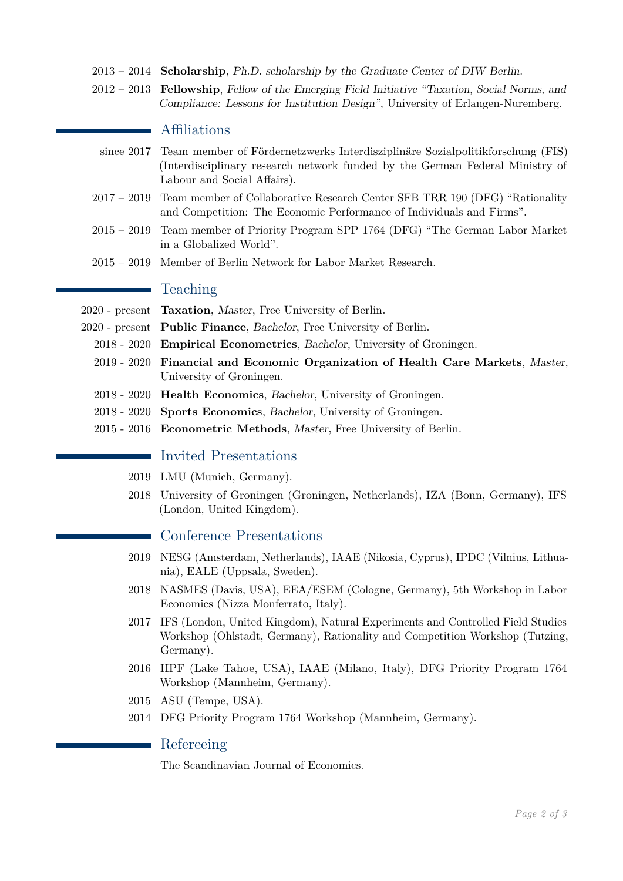- 2013 2014 **Scholarship**, Ph.D. scholarship by the Graduate Center of DIW Berlin.
- 2012 2013 **Fellowship**, Fellow of the Emerging Field Initiative "Taxation, Social Norms, and Compliance: Lessons for Institution Design", University of Erlangen-Nuremberg.

### Affiliations

- since 2017 Team member of Fördernetzwerks Interdisziplinäre Sozialpolitikforschung (FIS) (Interdisciplinary research network funded by the German Federal Ministry of Labour and Social Affairs).
- 2017 2019 Team member of Collaborative Research Center SFB TRR 190 (DFG) "Rationality and Competition: The Economic Performance of Individuals and Firms".
- 2015 2019 Team member of Priority Program SPP 1764 (DFG) "The German Labor Market in a Globalized World".
- 2015 2019 Member of Berlin Network for Labor Market Research.

## Teaching

- 2020 present **Taxation**, Master, Free University of Berlin.
- 2020 present **Public Finance**, Bachelor, Free University of Berlin.
	- 2018 2020 **Empirical Econometrics**, Bachelor, University of Groningen.
	- 2019 2020 **Financial and Economic Organization of Health Care Markets**, Master, University of Groningen.
	- 2018 2020 **Health Economics**, Bachelor, University of Groningen.
	- 2018 2020 **Sports Economics**, Bachelor, University of Groningen.
	- 2015 2016 **Econometric Methods**, Master, Free University of Berlin.

# Invited Presentations

- 2019 LMU (Munich, Germany).
- 2018 University of Groningen (Groningen, Netherlands), IZA (Bonn, Germany), IFS (London, United Kingdom).

#### Conference Presentations

- 2019 NESG (Amsterdam, Netherlands), IAAE (Nikosia, Cyprus), IPDC (Vilnius, Lithuania), EALE (Uppsala, Sweden).
- 2018 NASMES (Davis, USA), EEA/ESEM (Cologne, Germany), 5th Workshop in Labor Economics (Nizza Monferrato, Italy).
- 2017 IFS (London, United Kingdom), Natural Experiments and Controlled Field Studies Workshop (Ohlstadt, Germany), Rationality and Competition Workshop (Tutzing, Germany).
- 2016 IIPF (Lake Tahoe, USA), IAAE (Milano, Italy), DFG Priority Program 1764 Workshop (Mannheim, Germany).
- 2015 ASU (Tempe, USA).
- 2014 DFG Priority Program 1764 Workshop (Mannheim, Germany).

#### Refereeing

The Scandinavian Journal of Economics.